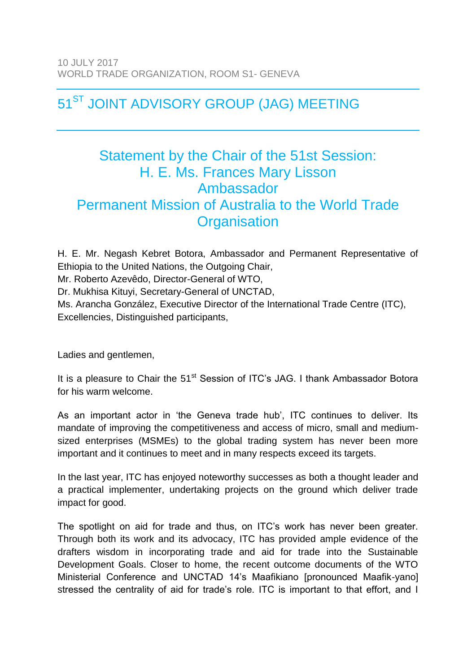## 51<sup>ST</sup> JOINT ADVISORY GROUP (JAG) MEETING

## Statement by the Chair of the 51st Session: H. E. Ms. Frances Mary Lisson Ambassador Permanent Mission of Australia to the World Trade **Organisation**

H. E. Mr. Negash Kebret Botora, Ambassador and Permanent Representative of Ethiopia to the United Nations, the Outgoing Chair, Mr. Roberto Azevêdo, Director-General of WTO, Dr. Mukhisa Kituyi, Secretary-General of UNCTAD, Ms. Arancha González, Executive Director of the International Trade Centre (ITC), Excellencies, Distinguished participants,

Ladies and gentlemen,

It is a pleasure to Chair the 51<sup>st</sup> Session of ITC's JAG. I thank Ambassador Botora for his warm welcome.

As an important actor in 'the Geneva trade hub', ITC continues to deliver. Its mandate of improving the competitiveness and access of micro, small and mediumsized enterprises (MSMEs) to the global trading system has never been more important and it continues to meet and in many respects exceed its targets.

In the last year, ITC has enjoyed noteworthy successes as both a thought leader and a practical implementer, undertaking projects on the ground which deliver trade impact for good.

The spotlight on aid for trade and thus, on ITC's work has never been greater. Through both its work and its advocacy, ITC has provided ample evidence of the drafters wisdom in incorporating trade and aid for trade into the Sustainable Development Goals. Closer to home, the recent outcome documents of the WTO Ministerial Conference and UNCTAD 14's Maafikiano [pronounced Maafik-yano] stressed the centrality of aid for trade's role. ITC is important to that effort, and I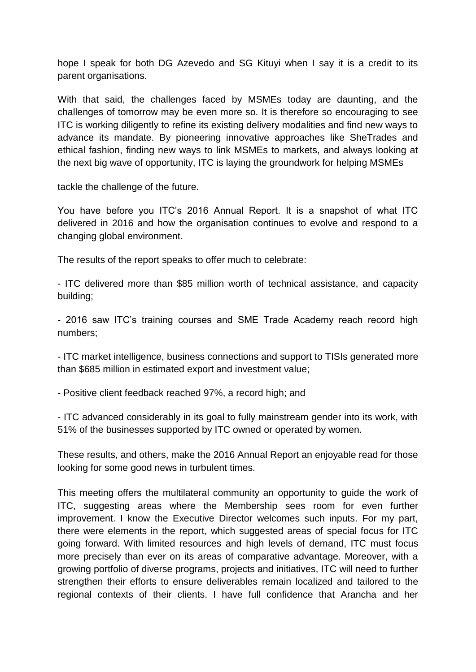hope I speak for both DG Azevedo and SG Kituyi when I say it is a credit to its parent organisations.

With that said, the challenges faced by MSMEs today are daunting, and the challenges of tomorrow may be even more so. It is therefore so encouraging to see ITC is working diligently to refine its existing delivery modalities and find new ways to advance its mandate. By pioneering innovative approaches like SheTrades and ethical fashion, finding new ways to link MSMEs to markets, and always looking at the next big wave of opportunity, ITC is laying the groundwork for helping MSMEs

tackle the challenge of the future.

You have before you ITC's 2016 Annual Report. It is a snapshot of what ITC delivered in 2016 and how the organisation continues to evolve and respond to a changing global environment.

The results of the report speaks to offer much to celebrate:

- ITC delivered more than \$85 million worth of technical assistance, and capacity building;

- 2016 saw ITC's training courses and SME Trade Academy reach record high numbers;

- ITC market intelligence, business connections and support to TISIs generated more than \$685 million in estimated export and investment value;

- Positive client feedback reached 97%, a record high; and

- ITC advanced considerably in its goal to fully mainstream gender into its work, with 51% of the businesses supported by ITC owned or operated by women.

These results, and others, make the 2016 Annual Report an enjoyable read for those looking for some good news in turbulent times.

This meeting offers the multilateral community an opportunity to guide the work of ITC, suggesting areas where the Membership sees room for even further improvement. I know the Executive Director welcomes such inputs. For my part, there were elements in the report, which suggested areas of special focus for ITC going forward. With limited resources and high levels of demand, ITC must focus more precisely than ever on its areas of comparative advantage. Moreover, with a growing portfolio of diverse programs, projects and initiatives, ITC will need to further strengthen their efforts to ensure deliverables remain localized and tailored to the regional contexts of their clients. I have full confidence that Arancha and her